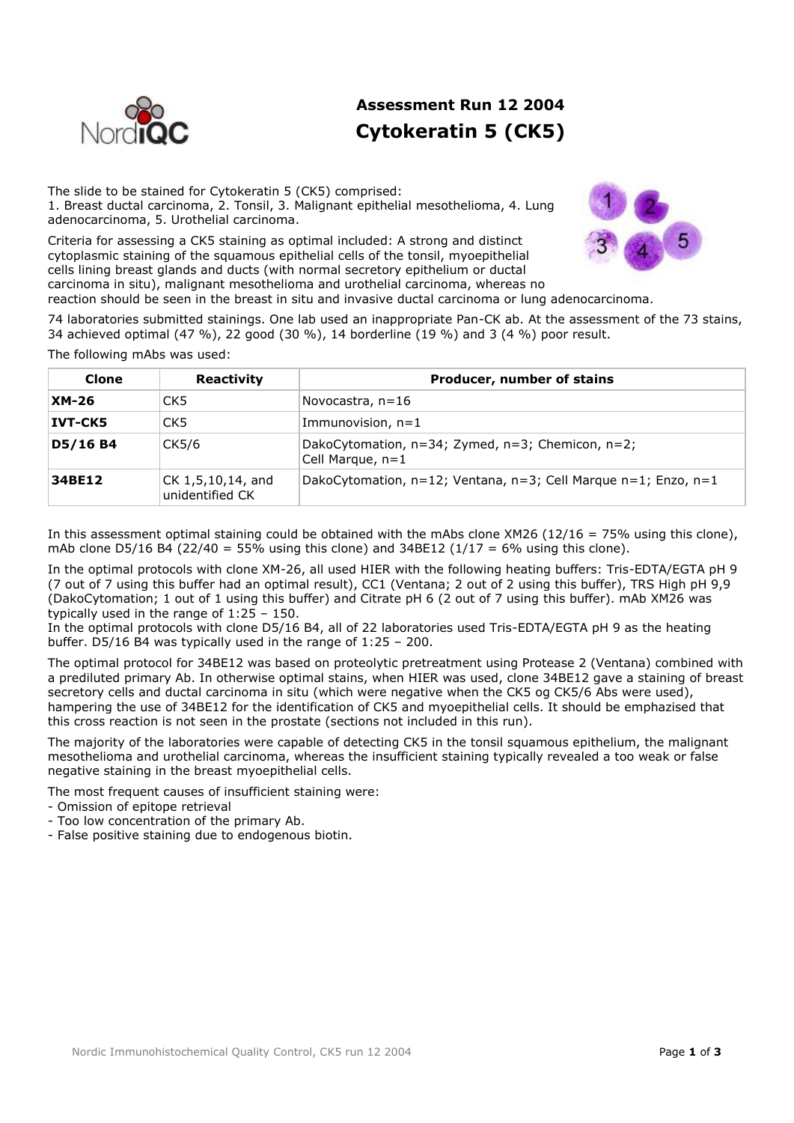

# **Assessment Run 12 2004 Cytokeratin 5 (CK5)**

The slide to be stained for Cytokeratin 5 (CK5) comprised: 1. Breast ductal carcinoma, 2. Tonsil, 3. Malignant epithelial mesothelioma, 4. Lung adenocarcinoma, 5. Urothelial carcinoma.

Criteria for assessing a CK5 staining as optimal included: A strong and distinct cytoplasmic staining of the squamous epithelial cells of the tonsil, myoepithelial cells lining breast glands and ducts (with normal secretory epithelium or ductal carcinoma in situ), malignant mesothelioma and urothelial carcinoma, whereas no reaction should be seen in the breast in situ and invasive ductal carcinoma or lung adenocarcinoma.



74 laboratories submitted stainings. One lab used an inappropriate Pan-CK ab. At the assessment of the 73 stains, 34 achieved optimal (47 %), 22 good (30 %), 14 borderline (19 %) and 3 (4 %) poor result.

The following mAbs was used:

| Clone          | Reactivity                           | Producer, number of stains                                                |
|----------------|--------------------------------------|---------------------------------------------------------------------------|
| $XM-26$        | CK <sub>5</sub>                      | Novocastra, $n=16$                                                        |
| <b>IVT-CK5</b> | CK5                                  | Immunovision, $n=1$                                                       |
| D5/16 B4       | CK5/6                                | DakoCytomation, n=34; Zymed, n=3; Chemicon, n=2;<br>Cell Marque, $n=1$    |
| 34BE12         | CK 1,5,10,14, and<br>unidentified CK | DakoCytomation, $n=12$ ; Ventana, $n=3$ ; Cell Marque $n=1$ ; Enzo, $n=1$ |

In this assessment optimal staining could be obtained with the mAbs clone XM26 (12/16 = 75% using this clone), mAb clone D5/16 B4 (22/40 = 55% using this clone) and  $34BE12$  ( $1/17 = 6\%$  using this clone).

In the optimal protocols with clone XM-26, all used HIER with the following heating buffers: Tris-EDTA/EGTA pH 9 (7 out of 7 using this buffer had an optimal result), CC1 (Ventana; 2 out of 2 using this buffer), TRS High pH 9,9 (DakoCytomation; 1 out of 1 using this buffer) and Citrate pH 6 (2 out of 7 using this buffer). mAb XM26 was typically used in the range of 1:25 – 150.

In the optimal protocols with clone D5/16 B4, all of 22 laboratories used Tris-EDTA/EGTA pH 9 as the heating buffer. D5/16 B4 was typically used in the range of 1:25 – 200.

The optimal protocol for 34BE12 was based on proteolytic pretreatment using Protease 2 (Ventana) combined with a prediluted primary Ab. In otherwise optimal stains, when HIER was used, clone 34BE12 gave a staining of breast secretory cells and ductal carcinoma in situ (which were negative when the CK5 og CK5/6 Abs were used), hampering the use of 34BE12 for the identification of CK5 and myoepithelial cells. It should be emphazised that this cross reaction is not seen in the prostate (sections not included in this run).

The majority of the laboratories were capable of detecting CK5 in the tonsil squamous epithelium, the malignant mesothelioma and urothelial carcinoma, whereas the insufficient staining typically revealed a too weak or false negative staining in the breast myoepithelial cells.

The most frequent causes of insufficient staining were:

- Omission of epitope retrieval
- Too low concentration of the primary Ab.
- False positive staining due to endogenous biotin.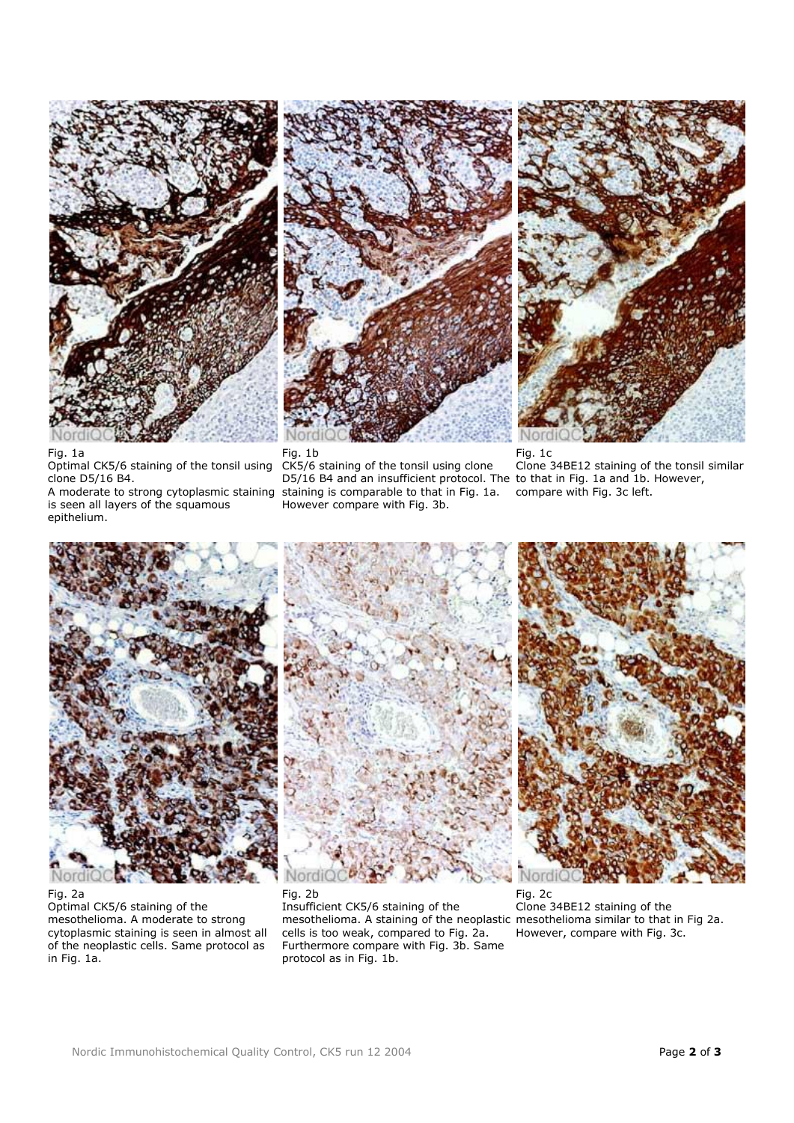

Fig. 1c Clone 34BE12 staining of the tonsil similar compare with Fig. 3c left.



Fig. 1a

Nordi





Fig. 2a Optimal CK5/6 staining of the mesothelioma. A moderate to strong cytoplasmic staining is seen in almost all of the neoplastic cells. Same protocol as in Fig. 1a.

Insufficient CK5/6 staining of the mesothelioma. A staining of the neoplastic mesothelioma similar to that in Fig 2a. cells is too weak, compared to Fig. 2a. Furthermore compare with Fig. 3b. Same protocol as in Fig. 1b.

Fig. 2c Clone 34BE12 staining of the However, compare with Fig. 3c.

## Optimal CK5/6 staining of the tonsil using Fig. 1b CK5/6 staining of the tonsil using clone

D5/16 B4 and an insufficient protocol. The to that in Fig. 1a and 1b. However, staining is comparable to that in Fig. 1a. However compare with Fig. 3b.